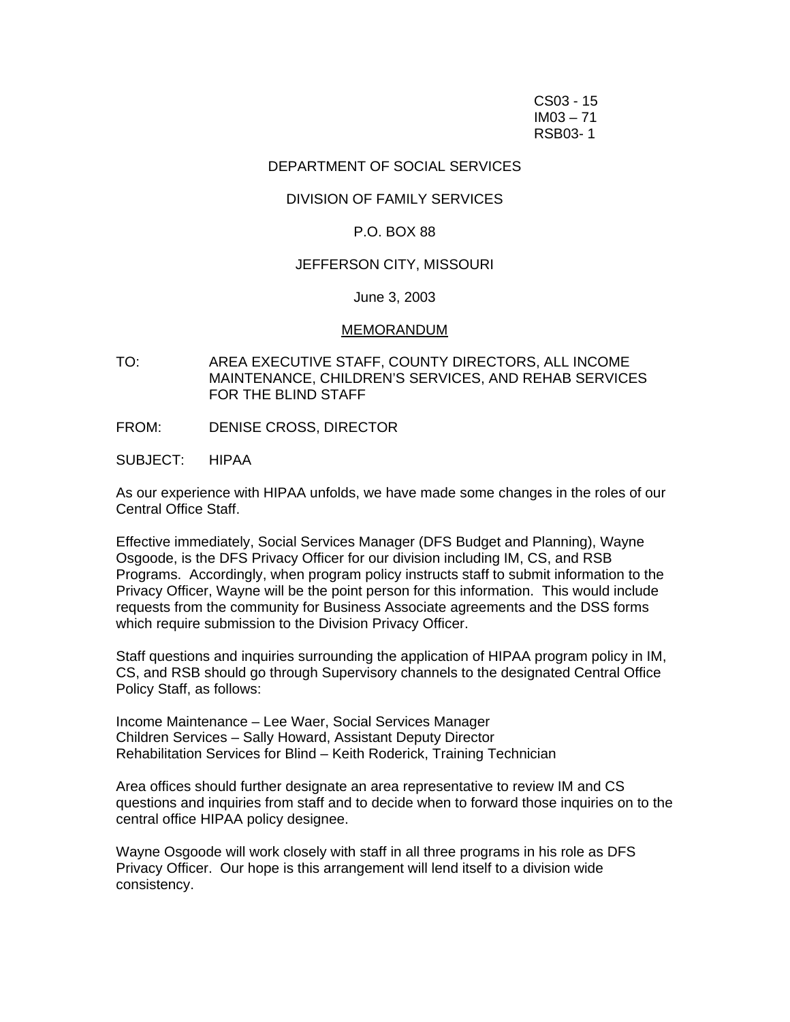CS03 - 15 IM03 – 71 RSB03- 1

# DEPARTMENT OF SOCIAL SERVICES

# DIVISION OF FAMILY SERVICES

### P.O. BOX 88

## JEFFERSON CITY, MISSOURI

### June 3, 2003

#### MEMORANDUM

- TO: AREA EXECUTIVE STAFF, COUNTY DIRECTORS, ALL INCOME MAINTENANCE, CHILDREN'S SERVICES, AND REHAB SERVICES FOR THE BLIND STAFF
- FROM: DENISE CROSS, DIRECTOR
- SUBJECT: HIPAA

As our experience with HIPAA unfolds, we have made some changes in the roles of our Central Office Staff.

Effective immediately, Social Services Manager (DFS Budget and Planning), Wayne Osgoode, is the DFS Privacy Officer for our division including IM, CS, and RSB Programs. Accordingly, when program policy instructs staff to submit information to the Privacy Officer, Wayne will be the point person for this information. This would include requests from the community for Business Associate agreements and the DSS forms which require submission to the Division Privacy Officer.

Staff questions and inquiries surrounding the application of HIPAA program policy in IM, CS, and RSB should go through Supervisory channels to the designated Central Office Policy Staff, as follows:

Income Maintenance – Lee Waer, Social Services Manager Children Services – Sally Howard, Assistant Deputy Director Rehabilitation Services for Blind – Keith Roderick, Training Technician

Area offices should further designate an area representative to review IM and CS questions and inquiries from staff and to decide when to forward those inquiries on to the central office HIPAA policy designee.

Wayne Osgoode will work closely with staff in all three programs in his role as DFS Privacy Officer. Our hope is this arrangement will lend itself to a division wide consistency.